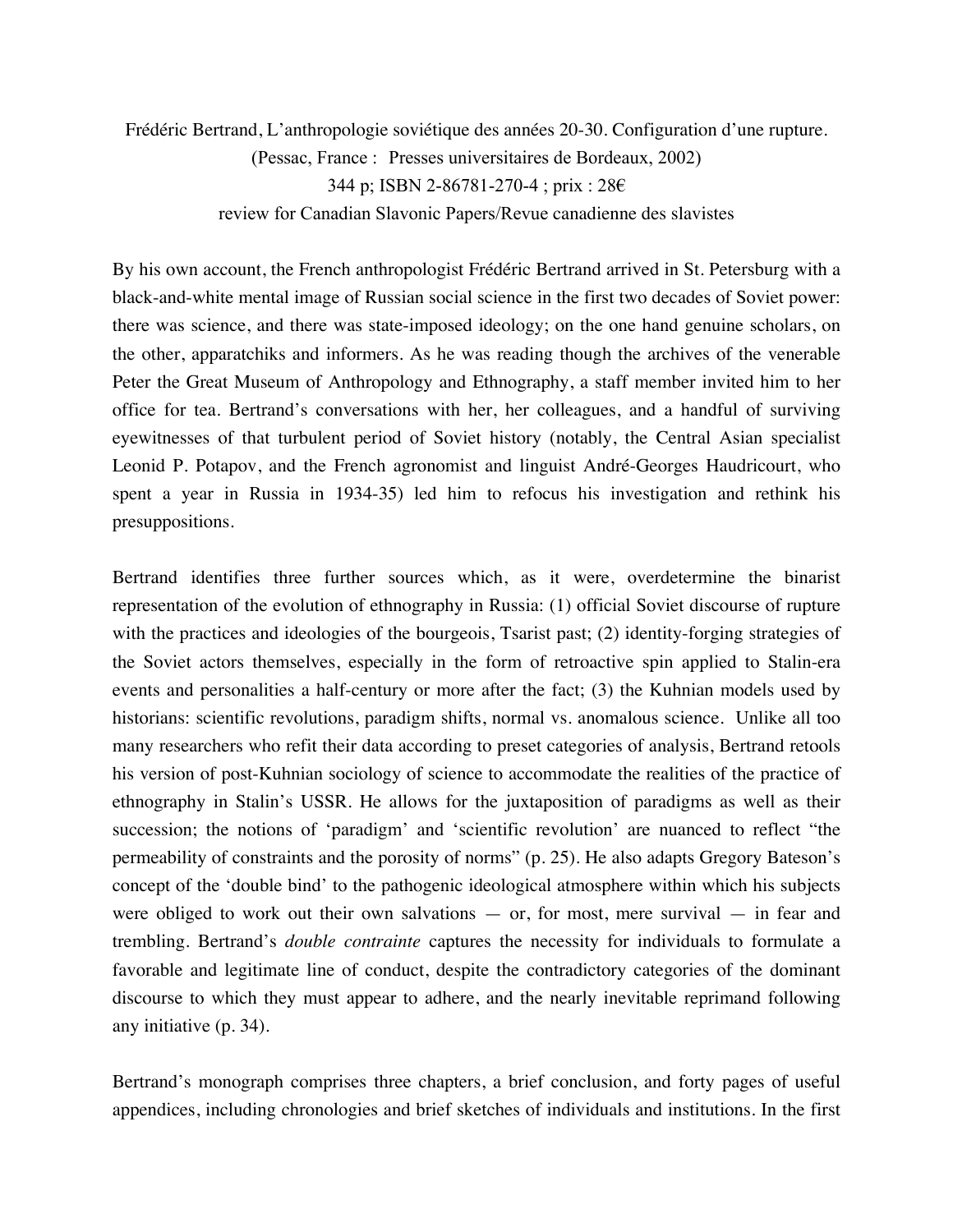Frédéric Bertrand, L'anthropologie soviétique des années 20-30. Configuration d'une rupture. (Pessac, France : Presses universitaires de Bordeaux, 2002) 344 p; ISBN 2-86781-270-4 ; prix : 28€ review for Canadian Slavonic Papers/Revue canadienne des slavistes

By his own account, the French anthropologist Frédéric Bertrand arrived in St. Petersburg with a black-and-white mental image of Russian social science in the first two decades of Soviet power: there was science, and there was state-imposed ideology; on the one hand genuine scholars, on the other, apparatchiks and informers. As he was reading though the archives of the venerable Peter the Great Museum of Anthropology and Ethnography, a staff member invited him to her office for tea. Bertrand's conversations with her, her colleagues, and a handful of surviving eyewitnesses of that turbulent period of Soviet history (notably, the Central Asian specialist Leonid P. Potapov, and the French agronomist and linguist André-Georges Haudricourt, who spent a year in Russia in 1934-35) led him to refocus his investigation and rethink his presuppositions.

Bertrand identifies three further sources which, as it were, overdetermine the binarist representation of the evolution of ethnography in Russia: (1) official Soviet discourse of rupture with the practices and ideologies of the bourgeois, Tsarist past; (2) identity-forging strategies of the Soviet actors themselves, especially in the form of retroactive spin applied to Stalin-era events and personalities a half-century or more after the fact; (3) the Kuhnian models used by historians: scientific revolutions, paradigm shifts, normal vs. anomalous science. Unlike all too many researchers who refit their data according to preset categories of analysis, Bertrand retools his version of post-Kuhnian sociology of science to accommodate the realities of the practice of ethnography in Stalin's USSR. He allows for the juxtaposition of paradigms as well as their succession; the notions of 'paradigm' and 'scientific revolution' are nuanced to reflect "the permeability of constraints and the porosity of norms" (p. 25). He also adapts Gregory Bateson's concept of the 'double bind' to the pathogenic ideological atmosphere within which his subjects were obliged to work out their own salvations  $-$  or, for most, mere survival  $-$  in fear and trembling. Bertrand's *double contrainte* captures the necessity for individuals to formulate a favorable and legitimate line of conduct, despite the contradictory categories of the dominant discourse to which they must appear to adhere, and the nearly inevitable reprimand following any initiative (p. 34).

Bertrand's monograph comprises three chapters, a brief conclusion, and forty pages of useful appendices, including chronologies and brief sketches of individuals and institutions. In the first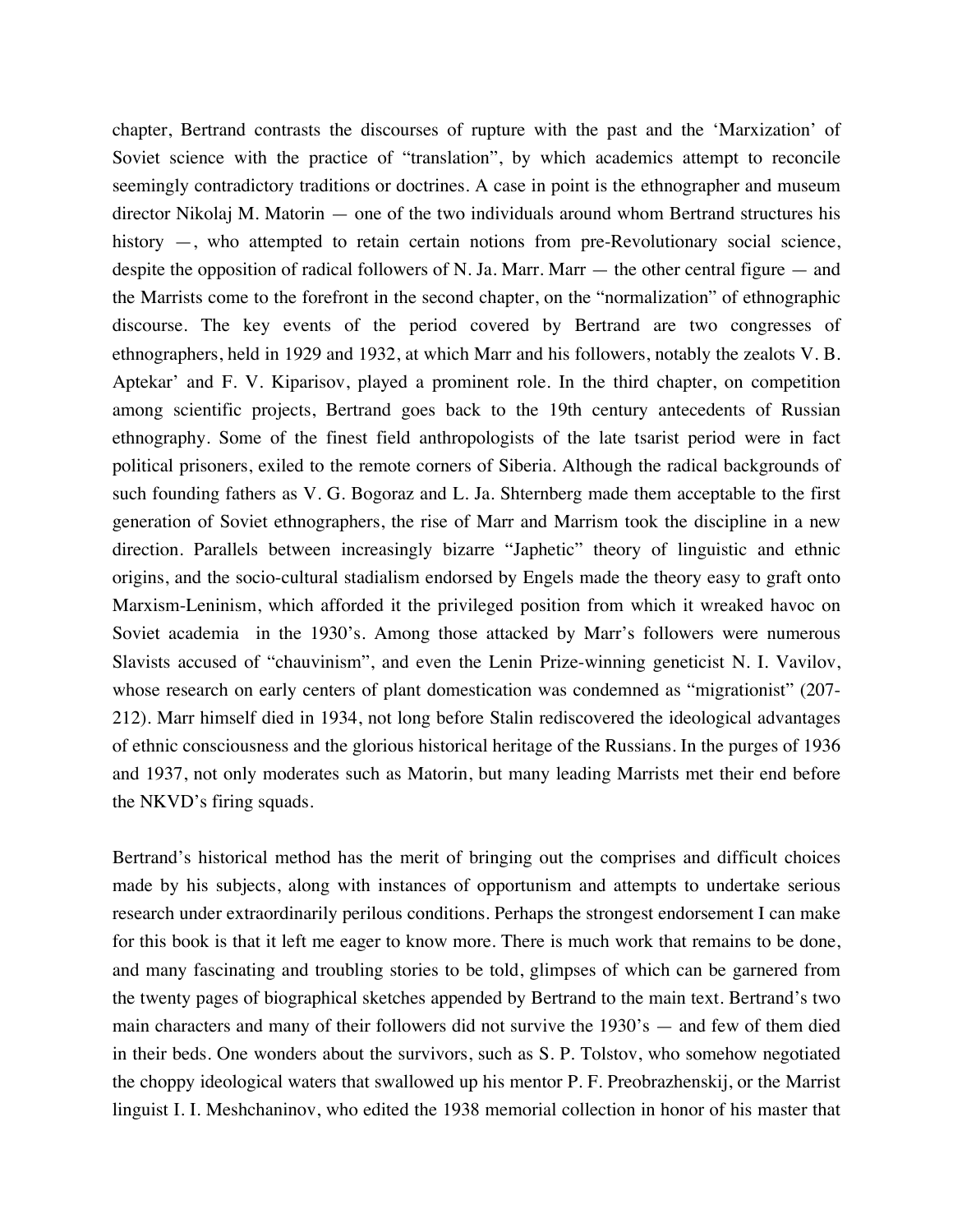chapter, Bertrand contrasts the discourses of rupture with the past and the 'Marxization' of Soviet science with the practice of "translation", by which academics attempt to reconcile seemingly contradictory traditions or doctrines. A case in point is the ethnographer and museum director Nikolaj M. Matorin — one of the two individuals around whom Bertrand structures his history —, who attempted to retain certain notions from pre-Revolutionary social science, despite the opposition of radical followers of N. Ja. Marr. Marr — the other central figure — and the Marrists come to the forefront in the second chapter, on the "normalization" of ethnographic discourse. The key events of the period covered by Bertrand are two congresses of ethnographers, held in 1929 and 1932, at which Marr and his followers, notably the zealots V. B. Aptekar' and F. V. Kiparisov, played a prominent role. In the third chapter, on competition among scientific projects, Bertrand goes back to the 19th century antecedents of Russian ethnography. Some of the finest field anthropologists of the late tsarist period were in fact political prisoners, exiled to the remote corners of Siberia. Although the radical backgrounds of such founding fathers as V. G. Bogoraz and L. Ja. Shternberg made them acceptable to the first generation of Soviet ethnographers, the rise of Marr and Marrism took the discipline in a new direction. Parallels between increasingly bizarre "Japhetic" theory of linguistic and ethnic origins, and the socio-cultural stadialism endorsed by Engels made the theory easy to graft onto Marxism-Leninism, which afforded it the privileged position from which it wreaked havoc on Soviet academia in the 1930's. Among those attacked by Marr's followers were numerous Slavists accused of "chauvinism", and even the Lenin Prize-winning geneticist N. I. Vavilov, whose research on early centers of plant domestication was condemned as "migrationist" (207- 212). Marr himself died in 1934, not long before Stalin rediscovered the ideological advantages of ethnic consciousness and the glorious historical heritage of the Russians. In the purges of 1936 and 1937, not only moderates such as Matorin, but many leading Marrists met their end before the NKVD's firing squads.

Bertrand's historical method has the merit of bringing out the comprises and difficult choices made by his subjects, along with instances of opportunism and attempts to undertake serious research under extraordinarily perilous conditions. Perhaps the strongest endorsement I can make for this book is that it left me eager to know more. There is much work that remains to be done, and many fascinating and troubling stories to be told, glimpses of which can be garnered from the twenty pages of biographical sketches appended by Bertrand to the main text. Bertrand's two main characters and many of their followers did not survive the 1930's — and few of them died in their beds. One wonders about the survivors, such as S. P. Tolstov, who somehow negotiated the choppy ideological waters that swallowed up his mentor P. F. Preobrazhenskij, or the Marrist linguist I. I. Meshchaninov, who edited the 1938 memorial collection in honor of his master that